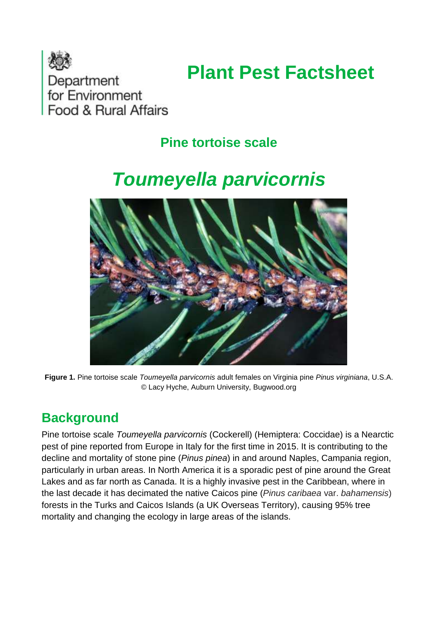

# **Plant Pest Factsheet**

## **Pine tortoise scale**

## *Toumeyella parvicornis*



**Figure 1.** Pine tortoise scale *Toumeyella parvicornis* adult females on Virginia pine *Pinus virginiana*, U.S.A. © Lacy Hyche, Auburn University, Bugwood.org

#### **Background**

Pine tortoise scale *Toumeyella parvicornis* (Cockerell) (Hemiptera: Coccidae) is a Nearctic pest of pine reported from Europe in Italy for the first time in 2015. It is contributing to the decline and mortality of stone pine (*Pinus pinea*) in and around Naples, Campania region, particularly in urban areas. In North America it is a sporadic pest of pine around the Great Lakes and as far north as Canada. It is a highly invasive pest in the Caribbean, where in the last decade it has decimated the native Caicos pine (*Pinus caribaea* var. *bahamensis*) forests in the Turks and Caicos Islands (a UK Overseas Territory), causing 95% tree mortality and changing the ecology in large areas of the islands.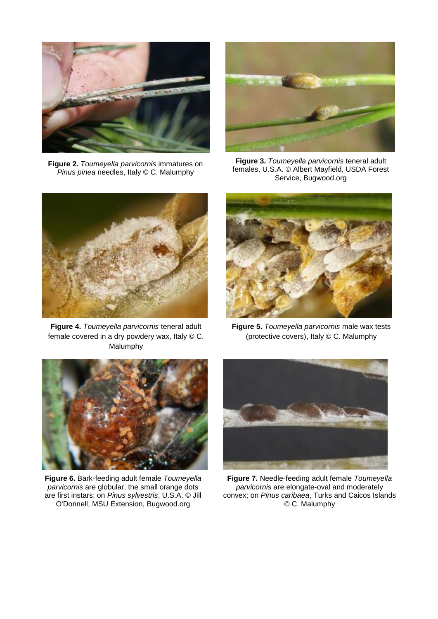

**Figure 2.** *Toumeyella parvicornis* immatures on *Pinus pinea* needles, Italy © C. Malumphy



**Figure 3.** *Toumeyella parvicornis* teneral adult females, U.S.A. © Albert Mayfield, USDA Forest Service, Bugwood.org



**Figure 4.** *Toumeyella parvicornis* teneral adult female covered in a dry powdery wax, Italy © C. Malumphy



**Figure 5.** *Toumeyella parvicornis* male wax tests (protective covers), Italy © C. Malumphy



**Figure 6.** Bark-feeding adult female *Toumeyella parvicornis* are globular, the small orange dots are first instars; on *Pinus sylvestris*, U.S.A. © Jill O'Donnell, MSU Extension, Bugwood.org



**Figure 7.** Needle-feeding adult female *Toumeyella parvicornis* are elongate-oval and moderately convex; on *Pinus caribaea*, Turks and Caicos Islands © C. Malumphy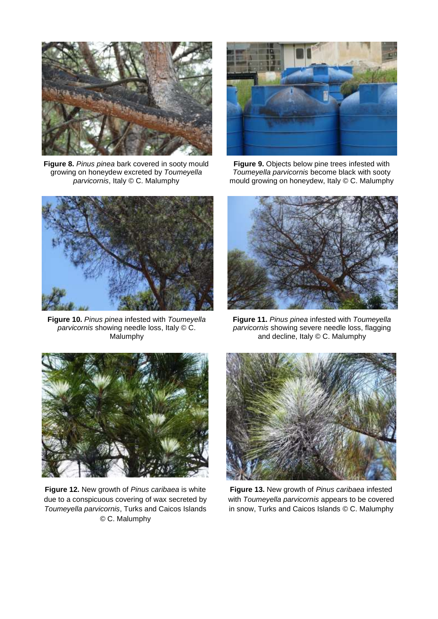

**Figure 8.** *Pinus pinea* bark covered in sooty mould growing on honeydew excreted by *Toumeyella parvicornis*, Italy © C. Malumphy



**Figure 9.** Objects below pine trees infested with *Toumeyella parvicornis* become black with sooty mould growing on honeydew, Italy © C. Malumphy



**Figure 10.** *Pinus pinea* infested with *Toumeyella parvicornis* showing needle loss, Italy © C. Malumphy



**Figure 11.** *Pinus pinea* infested with *Toumeyella parvicornis* showing severe needle loss, flagging and decline, Italy © C. Malumphy



**Figure 12.** New growth of *Pinus caribaea* is white due to a conspicuous covering of wax secreted by *Toumeyella parvicornis*, Turks and Caicos Islands © C. Malumphy



**Figure 13.** New growth of *Pinus caribaea* infested with *Toumeyella parvicornis* appears to be covered in snow, Turks and Caicos Islands © C. Malumphy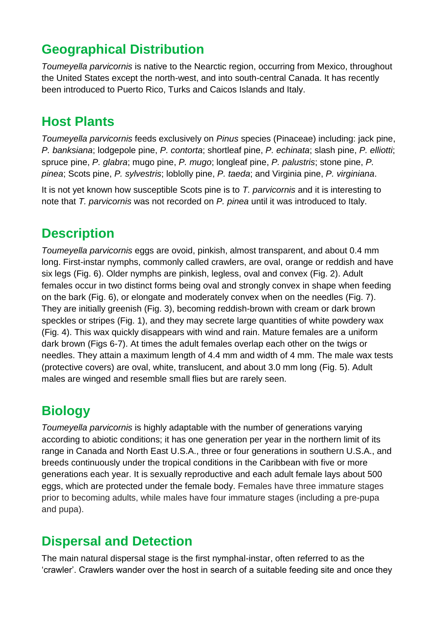## **Geographical Distribution**

*Toumeyella parvicornis* is native to the Nearctic region, occurring from Mexico, throughout the United States except the north-west, and into south-central Canada. It has recently been introduced to Puerto Rico, Turks and Caicos Islands and Italy.

#### **Host Plants**

*Toumeyella parvicornis* feeds exclusively on *Pinus* species (Pinaceae) including: jack pine, *P. banksiana*; lodgepole pine, *P. contorta*; shortleaf pine, *P. echinata*; slash pine, *P. elliotti*; spruce pine, *P. glabra*; mugo pine, *P. mugo*; longleaf pine, *P. palustris*; stone pine, *P. pinea*; Scots pine, *P. sylvestris*; loblolly pine, *P. taeda*; and Virginia pine, *P. virginiana*.

It is not yet known how susceptible Scots pine is to *T. parvicornis* and it is interesting to note that *T. parvicornis* was not recorded on *P. pinea* until it was introduced to Italy.

## **Description**

*Toumeyella parvicornis* eggs are ovoid, pinkish, almost transparent, and about 0.4 mm long. First-instar nymphs, commonly called crawlers, are oval, orange or reddish and have six legs (Fig. 6). Older nymphs are pinkish, legless, oval and convex (Fig. 2). Adult females occur in two distinct forms being oval and strongly convex in shape when feeding on the bark (Fig. 6), or elongate and moderately convex when on the needles (Fig. 7). They are initially greenish (Fig. 3), becoming reddish-brown with cream or dark brown speckles or stripes (Fig. 1), and they may secrete large quantities of white powdery wax (Fig. 4). This wax quickly disappears with wind and rain. Mature females are a uniform dark brown (Figs 6-7). At times the adult females overlap each other on the twigs or needles. They attain a maximum length of 4.4 mm and width of 4 mm. The male wax tests (protective covers) are oval, white, translucent, and about 3.0 mm long (Fig. 5). Adult males are winged and resemble small flies but are rarely seen.

## **Biology**

*Toumeyella parvicornis* is highly adaptable with the number of generations varying according to abiotic conditions; it has one generation per year in the northern limit of its range in Canada and North East U.S.A., three or four generations in southern U.S.A., and breeds continuously under the tropical conditions in the Caribbean with five or more generations each year. It is sexually reproductive and each adult female lays about 500 eggs, which are protected under the female body. Females have three immature stages prior to becoming adults, while males have four immature stages (including a pre-pupa and pupa).

#### **Dispersal and Detection**

The main natural dispersal stage is the first nymphal-instar, often referred to as the 'crawler'. Crawlers wander over the host in search of a suitable feeding site and once they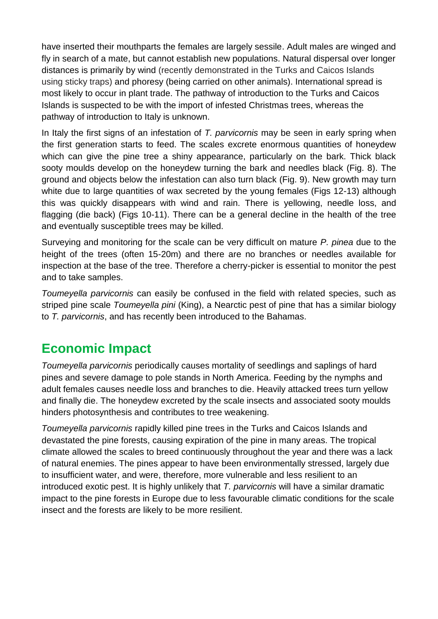have inserted their mouthparts the females are largely sessile. Adult males are winged and fly in search of a mate, but cannot establish new populations. Natural dispersal over longer distances is primarily by wind (recently demonstrated in the Turks and Caicos Islands using sticky traps) and phoresy (being carried on other animals). International spread is most likely to occur in plant trade. The pathway of introduction to the Turks and Caicos Islands is suspected to be with the import of infested Christmas trees, whereas the pathway of introduction to Italy is unknown.

In Italy the first signs of an infestation of *T. parvicornis* may be seen in early spring when the first generation starts to feed. The scales excrete enormous quantities of honeydew which can give the pine tree a shiny appearance, particularly on the bark. Thick black sooty moulds develop on the honeydew turning the bark and needles black (Fig. 8). The ground and objects below the infestation can also turn black (Fig. 9). New growth may turn white due to large quantities of wax secreted by the young females (Figs 12-13) although this was quickly disappears with wind and rain. There is yellowing, needle loss, and flagging (die back) (Figs 10-11). There can be a general decline in the health of the tree and eventually susceptible trees may be killed.

Surveying and monitoring for the scale can be very difficult on mature *P. pinea* due to the height of the trees (often 15-20m) and there are no branches or needles available for inspection at the base of the tree. Therefore a cherry-picker is essential to monitor the pest and to take samples.

*Toumeyella parvicornis* can easily be confused in the field with related species, such as striped pine scale *Toumeyella pini* (King), a Nearctic pest of pine that has a similar biology to *T. parvicornis*, and has recently been introduced to the Bahamas.

#### **Economic Impact**

*Toumeyella parvicornis* periodically causes mortality of seedlings and saplings of hard pines and severe damage to pole stands in North America. Feeding by the nymphs and adult females causes needle loss and branches to die. Heavily attacked trees turn yellow and finally die. The honeydew excreted by the scale insects and associated sooty moulds hinders photosynthesis and contributes to tree weakening.

*Toumeyella parvicornis* rapidly killed pine trees in the Turks and Caicos Islands and devastated the pine forests, causing expiration of the pine in many areas. The tropical climate allowed the scales to breed continuously throughout the year and there was a lack of natural enemies. The pines appear to have been environmentally stressed, largely due to insufficient water, and were, therefore, more vulnerable and less resilient to an introduced exotic pest. It is highly unlikely that *T. parvicornis* will have a similar dramatic impact to the pine forests in Europe due to less favourable climatic conditions for the scale insect and the forests are likely to be more resilient.